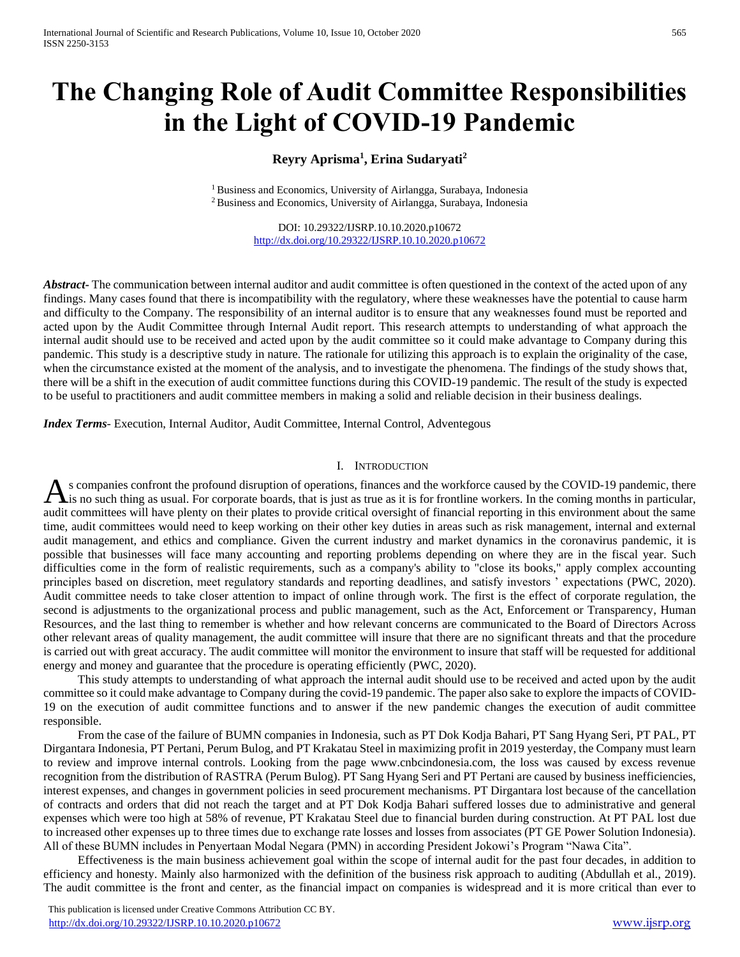# **The Changing Role of Audit Committee Responsibilities in the Light of COVID-19 Pandemic**

# **Reyry Aprisma<sup>1</sup> , Erina Sudaryati<sup>2</sup>**

<sup>1</sup> Business and Economics, University of Airlangga, Surabaya, Indonesia <sup>2</sup> Business and Economics, University of Airlangga, Surabaya, Indonesia

> DOI: 10.29322/IJSRP.10.10.2020.p10672 <http://dx.doi.org/10.29322/IJSRP.10.10.2020.p10672>

*Abstract* The communication between internal auditor and audit committee is often questioned in the context of the acted upon of any findings. Many cases found that there is incompatibility with the regulatory, where these weaknesses have the potential to cause harm and difficulty to the Company. The responsibility of an internal auditor is to ensure that any weaknesses found must be reported and acted upon by the Audit Committee through Internal Audit report. This research attempts to understanding of what approach the internal audit should use to be received and acted upon by the audit committee so it could make advantage to Company during this pandemic. This study is a descriptive study in nature. The rationale for utilizing this approach is to explain the originality of the case, when the circumstance existed at the moment of the analysis, and to investigate the phenomena. The findings of the study shows that, there will be a shift in the execution of audit committee functions during this COVID-19 pandemic. The result of the study is expected to be useful to practitioners and audit committee members in making a solid and reliable decision in their business dealings.

*Index Terms*- Execution, Internal Auditor, Audit Committee, Internal Control, Adventegous

# I. INTRODUCTION

s companies confront the profound disruption of operations, finances and the workforce caused by the COVID-19 pandemic, there As companies confront the profound disruption of operations, finances and the workforce caused by the COVID-19 pandemic, there is it is no such thing as usual. For corporate boards, that is just as true as it is for frontl audit committees will have plenty on their plates to provide critical oversight of financial reporting in this environment about the same time, audit committees would need to keep working on their other key duties in areas such as risk management, internal and external audit management, and ethics and compliance. Given the current industry and market dynamics in the coronavirus pandemic, it is possible that businesses will face many accounting and reporting problems depending on where they are in the fiscal year. Such difficulties come in the form of realistic requirements, such as a company's ability to "close its books," apply complex accounting principles based on discretion, meet regulatory standards and reporting deadlines, and satisfy investors ' expectations (PWC, 2020). Audit committee needs to take closer attention to impact of online through work. The first is the effect of corporate regulation, the second is adjustments to the organizational process and public management, such as the Act, Enforcement or Transparency, Human Resources, and the last thing to remember is whether and how relevant concerns are communicated to the Board of Directors Across other relevant areas of quality management, the audit committee will insure that there are no significant threats and that the procedure is carried out with great accuracy. The audit committee will monitor the environment to insure that staff will be requested for additional energy and money and guarantee that the procedure is operating efficiently (PWC, 2020).

This study attempts to understanding of what approach the internal audit should use to be received and acted upon by the audit committee so it could make advantage to Company during the covid-19 pandemic. The paper also sake to explore the impacts of COVID-19 on the execution of audit committee functions and to answer if the new pandemic changes the execution of audit committee responsible.

From the case of the failure of BUMN companies in Indonesia, such as PT Dok Kodja Bahari, PT Sang Hyang Seri, PT PAL, PT Dirgantara Indonesia, PT Pertani, Perum Bulog, and PT Krakatau Steel in maximizing profit in 2019 yesterday, the Company must learn to review and improve internal controls. Looking from the page www.cnbcindonesia.com, the loss was caused by excess revenue recognition from the distribution of RASTRA (Perum Bulog). PT Sang Hyang Seri and PT Pertani are caused by business inefficiencies, interest expenses, and changes in government policies in seed procurement mechanisms. PT Dirgantara lost because of the cancellation of contracts and orders that did not reach the target and at PT Dok Kodja Bahari suffered losses due to administrative and general expenses which were too high at 58% of revenue, PT Krakatau Steel due to financial burden during construction. At PT PAL lost due to increased other expenses up to three times due to exchange rate losses and losses from associates (PT GE Power Solution Indonesia). All of these BUMN includes in Penyertaan Modal Negara (PMN) in according President Jokowi's Program "Nawa Cita".

Effectiveness is the main business achievement goal within the scope of internal audit for the past four decades, in addition to efficiency and honesty. Mainly also harmonized with the definition of the business risk approach to auditing (Abdullah et al., 2019). The audit committee is the front and center, as the financial impact on companies is widespread and it is more critical than ever to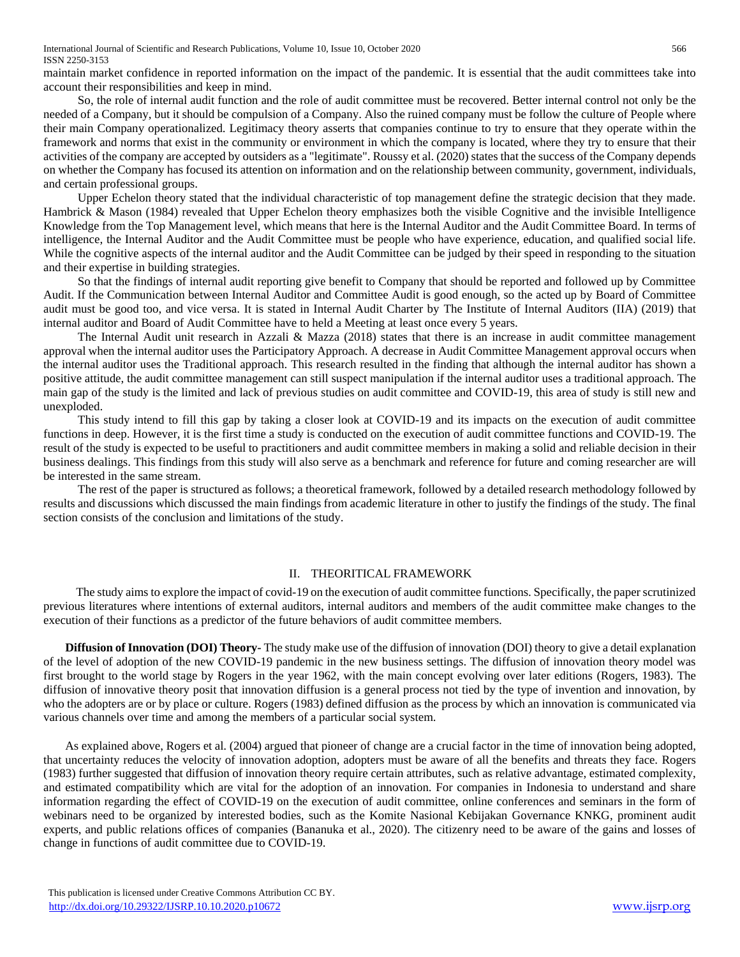International Journal of Scientific and Research Publications, Volume 10, Issue 10, October 2020 566 ISSN 2250-3153

maintain market confidence in reported information on the impact of the pandemic. It is essential that the audit committees take into account their responsibilities and keep in mind.

So, the role of internal audit function and the role of audit committee must be recovered. Better internal control not only be the needed of a Company, but it should be compulsion of a Company. Also the ruined company must be follow the culture of People where their main Company operationalized. Legitimacy theory asserts that companies continue to try to ensure that they operate within the framework and norms that exist in the community or environment in which the company is located, where they try to ensure that their activities of the company are accepted by outsiders as a "legitimate". Roussy et al. (2020) states that the success of the Company depends on whether the Company has focused its attention on information and on the relationship between community, government, individuals, and certain professional groups.

Upper Echelon theory stated that the individual characteristic of top management define the strategic decision that they made. Hambrick & Mason (1984) revealed that Upper Echelon theory emphasizes both the visible Cognitive and the invisible Intelligence Knowledge from the Top Management level, which means that here is the Internal Auditor and the Audit Committee Board. In terms of intelligence, the Internal Auditor and the Audit Committee must be people who have experience, education, and qualified social life. While the cognitive aspects of the internal auditor and the Audit Committee can be judged by their speed in responding to the situation and their expertise in building strategies.

So that the findings of internal audit reporting give benefit to Company that should be reported and followed up by Committee Audit. If the Communication between Internal Auditor and Committee Audit is good enough, so the acted up by Board of Committee audit must be good too, and vice versa. It is stated in Internal Audit Charter by The Institute of Internal Auditors (IIA) (2019) that internal auditor and Board of Audit Committee have to held a Meeting at least once every 5 years.

The Internal Audit unit research in Azzali & Mazza (2018) states that there is an increase in audit committee management approval when the internal auditor uses the Participatory Approach. A decrease in Audit Committee Management approval occurs when the internal auditor uses the Traditional approach. This research resulted in the finding that although the internal auditor has shown a positive attitude, the audit committee management can still suspect manipulation if the internal auditor uses a traditional approach. The main gap of the study is the limited and lack of previous studies on audit committee and COVID-19, this area of study is still new and unexploded.

This study intend to fill this gap by taking a closer look at COVID-19 and its impacts on the execution of audit committee functions in deep. However, it is the first time a study is conducted on the execution of audit committee functions and COVID-19. The result of the study is expected to be useful to practitioners and audit committee members in making a solid and reliable decision in their business dealings. This findings from this study will also serve as a benchmark and reference for future and coming researcher are will be interested in the same stream.

The rest of the paper is structured as follows; a theoretical framework, followed by a detailed research methodology followed by results and discussions which discussed the main findings from academic literature in other to justify the findings of the study. The final section consists of the conclusion and limitations of the study.

### II. THEORITICAL FRAMEWORK

The study aims to explore the impact of covid-19 on the execution of audit committee functions. Specifically, the paper scrutinized previous literatures where intentions of external auditors, internal auditors and members of the audit committee make changes to the execution of their functions as a predictor of the future behaviors of audit committee members.

**Diffusion of Innovation (DOI) Theory-** The study make use of the diffusion of innovation (DOI) theory to give a detail explanation of the level of adoption of the new COVID-19 pandemic in the new business settings. The diffusion of innovation theory model was first brought to the world stage by Rogers in the year 1962, with the main concept evolving over later editions (Rogers, 1983). The diffusion of innovative theory posit that innovation diffusion is a general process not tied by the type of invention and innovation, by who the adopters are or by place or culture. Rogers (1983) defined diffusion as the process by which an innovation is communicated via various channels over time and among the members of a particular social system.

As explained above, Rogers et al. (2004) argued that pioneer of change are a crucial factor in the time of innovation being adopted, that uncertainty reduces the velocity of innovation adoption, adopters must be aware of all the benefits and threats they face. Rogers (1983) further suggested that diffusion of innovation theory require certain attributes, such as relative advantage, estimated complexity, and estimated compatibility which are vital for the adoption of an innovation. For companies in Indonesia to understand and share information regarding the effect of COVID-19 on the execution of audit committee, online conferences and seminars in the form of webinars need to be organized by interested bodies, such as the Komite Nasional Kebijakan Governance KNKG, prominent audit experts, and public relations offices of companies (Bananuka et al., 2020). The citizenry need to be aware of the gains and losses of change in functions of audit committee due to COVID-19.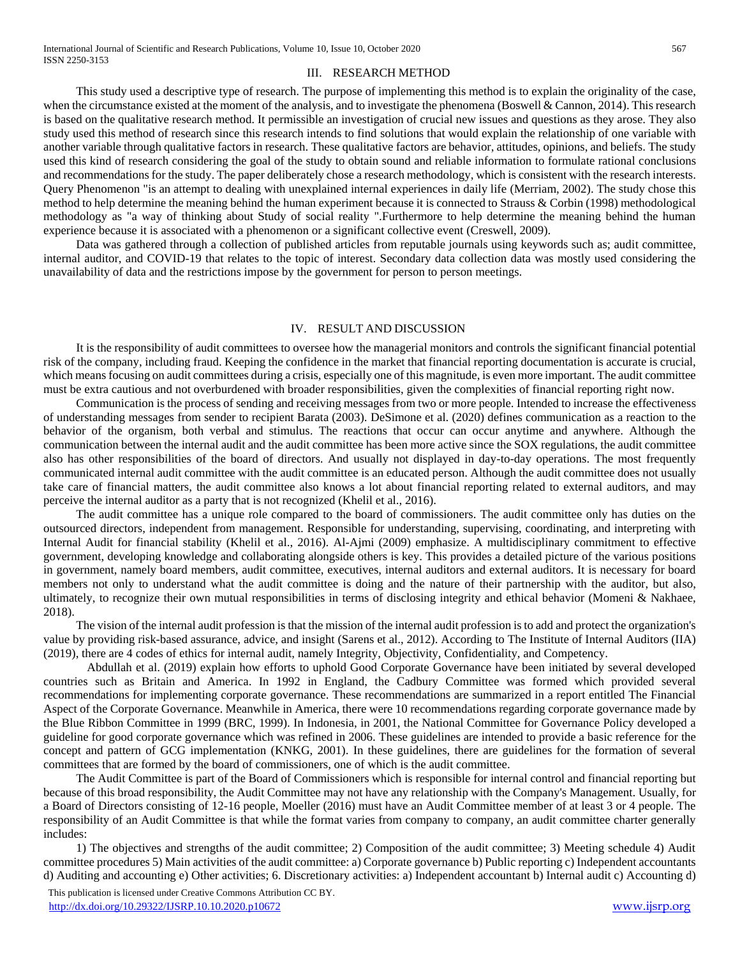# III. RESEARCH METHOD

This study used a descriptive type of research. The purpose of implementing this method is to explain the originality of the case, when the circumstance existed at the moment of the analysis, and to investigate the phenomena (Boswell & Cannon, 2014). This research is based on the qualitative research method. It permissible an investigation of crucial new issues and questions as they arose. They also study used this method of research since this research intends to find solutions that would explain the relationship of one variable with another variable through qualitative factors in research. These qualitative factors are behavior, attitudes, opinions, and beliefs. The study used this kind of research considering the goal of the study to obtain sound and reliable information to formulate rational conclusions and recommendations for the study. The paper deliberately chose a research methodology, which is consistent with the research interests. Query Phenomenon "is an attempt to dealing with unexplained internal experiences in daily life (Merriam, 2002). The study chose this method to help determine the meaning behind the human experiment because it is connected to Strauss & Corbin (1998) methodological methodology as "a way of thinking about Study of social reality ".Furthermore to help determine the meaning behind the human experience because it is associated with a phenomenon or a significant collective event (Creswell, 2009).

Data was gathered through a collection of published articles from reputable journals using keywords such as; audit committee, internal auditor, and COVID-19 that relates to the topic of interest. Secondary data collection data was mostly used considering the unavailability of data and the restrictions impose by the government for person to person meetings.

### IV. RESULT AND DISCUSSION

It is the responsibility of audit committees to oversee how the managerial monitors and controls the significant financial potential risk of the company, including fraud. Keeping the confidence in the market that financial reporting documentation is accurate is crucial, which means focusing on audit committees during a crisis, especially one of this magnitude, is even more important. The audit committee must be extra cautious and not overburdened with broader responsibilities, given the complexities of financial reporting right now.

Communication is the process of sending and receiving messages from two or more people. Intended to increase the effectiveness of understanding messages from sender to recipient Barata (2003). DeSimone et al. (2020) defines communication as a reaction to the behavior of the organism, both verbal and stimulus. The reactions that occur can occur anytime and anywhere. Although the communication between the internal audit and the audit committee has been more active since the SOX regulations, the audit committee also has other responsibilities of the board of directors. And usually not displayed in day-to-day operations. The most frequently communicated internal audit committee with the audit committee is an educated person. Although the audit committee does not usually take care of financial matters, the audit committee also knows a lot about financial reporting related to external auditors, and may perceive the internal auditor as a party that is not recognized (Khelil et al., 2016).

The audit committee has a unique role compared to the board of commissioners. The audit committee only has duties on the outsourced directors, independent from management. Responsible for understanding, supervising, coordinating, and interpreting with Internal Audit for financial stability (Khelil et al., 2016). Al-Ajmi (2009) emphasize. A multidisciplinary commitment to effective government, developing knowledge and collaborating alongside others is key. This provides a detailed picture of the various positions in government, namely board members, audit committee, executives, internal auditors and external auditors. It is necessary for board members not only to understand what the audit committee is doing and the nature of their partnership with the auditor, but also, ultimately, to recognize their own mutual responsibilities in terms of disclosing integrity and ethical behavior (Momeni & Nakhaee, 2018).

The vision of the internal audit profession is that the mission of the internal audit profession is to add and protect the organization's value by providing risk-based assurance, advice, and insight (Sarens et al., 2012). According to The Institute of Internal Auditors (IIA) (2019), there are 4 codes of ethics for internal audit, namely Integrity, Objectivity, Confidentiality, and Competency.

Abdullah et al. (2019) explain how efforts to uphold Good Corporate Governance have been initiated by several developed countries such as Britain and America. In 1992 in England, the Cadbury Committee was formed which provided several recommendations for implementing corporate governance. These recommendations are summarized in a report entitled The Financial Aspect of the Corporate Governance. Meanwhile in America, there were 10 recommendations regarding corporate governance made by the Blue Ribbon Committee in 1999 (BRC, 1999). In Indonesia, in 2001, the National Committee for Governance Policy developed a guideline for good corporate governance which was refined in 2006. These guidelines are intended to provide a basic reference for the concept and pattern of GCG implementation (KNKG, 2001). In these guidelines, there are guidelines for the formation of several committees that are formed by the board of commissioners, one of which is the audit committee.

The Audit Committee is part of the Board of Commissioners which is responsible for internal control and financial reporting but because of this broad responsibility, the Audit Committee may not have any relationship with the Company's Management. Usually, for a Board of Directors consisting of 12-16 people, Moeller (2016) must have an Audit Committee member of at least 3 or 4 people. The responsibility of an Audit Committee is that while the format varies from company to company, an audit committee charter generally includes:

1) The objectives and strengths of the audit committee; 2) Composition of the audit committee; 3) Meeting schedule 4) Audit committee procedures 5) Main activities of the audit committee: a) Corporate governance b) Public reporting c) Independent accountants d) Auditing and accounting e) Other activities; 6. Discretionary activities: a) Independent accountant b) Internal audit c) Accounting d)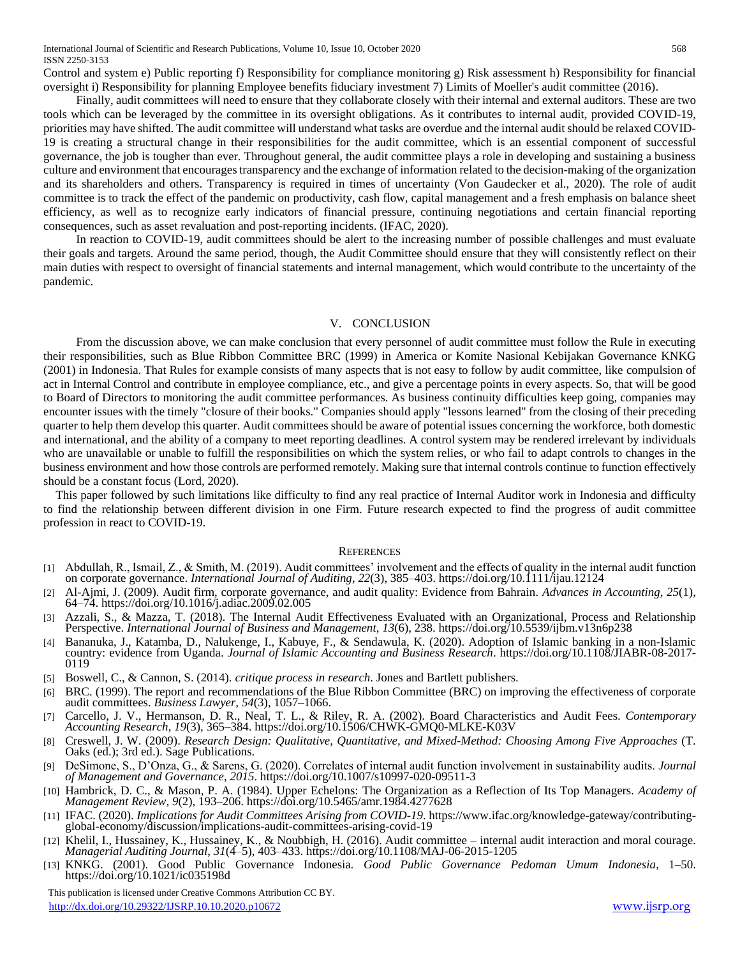Control and system e) Public reporting f) Responsibility for compliance monitoring g) Risk assessment h) Responsibility for financial oversight i) Responsibility for planning Employee benefits fiduciary investment 7) Limits of Moeller's audit committee (2016).

Finally, audit committees will need to ensure that they collaborate closely with their internal and external auditors. These are two tools which can be leveraged by the committee in its oversight obligations. As it contributes to internal audit, provided COVID-19, priorities may have shifted. The audit committee will understand what tasks are overdue and the internal audit should be relaxed COVID-19 is creating a structural change in their responsibilities for the audit committee, which is an essential component of successful governance, the job is tougher than ever. Throughout general, the audit committee plays a role in developing and sustaining a business culture and environment that encourages transparency and the exchange of information related to the decision-making of the organization and its shareholders and others. Transparency is required in times of uncertainty (Von Gaudecker et al., 2020). The role of audit committee is to track the effect of the pandemic on productivity, cash flow, capital management and a fresh emphasis on balance sheet efficiency, as well as to recognize early indicators of financial pressure, continuing negotiations and certain financial reporting consequences, such as asset revaluation and post-reporting incidents. (IFAC, 2020).

In reaction to COVID-19, audit committees should be alert to the increasing number of possible challenges and must evaluate their goals and targets. Around the same period, though, the Audit Committee should ensure that they will consistently reflect on their main duties with respect to oversight of financial statements and internal management, which would contribute to the uncertainty of the pandemic.

## V. CONCLUSION

From the discussion above, we can make conclusion that every personnel of audit committee must follow the Rule in executing their responsibilities, such as Blue Ribbon Committee BRC (1999) in America or Komite Nasional Kebijakan Governance KNKG (2001) in Indonesia. That Rules for example consists of many aspects that is not easy to follow by audit committee, like compulsion of act in Internal Control and contribute in employee compliance, etc., and give a percentage points in every aspects. So, that will be good to Board of Directors to monitoring the audit committee performances. As business continuity difficulties keep going, companies may encounter issues with the timely "closure of their books." Companies should apply "lessons learned" from the closing of their preceding quarter to help them develop this quarter. Audit committees should be aware of potential issues concerning the workforce, both domestic and international, and the ability of a company to meet reporting deadlines. A control system may be rendered irrelevant by individuals who are unavailable or unable to fulfill the responsibilities on which the system relies, or who fail to adapt controls to changes in the business environment and how those controls are performed remotely. Making sure that internal controls continue to function effectively should be a constant focus (Lord, 2020).

This paper followed by such limitations like difficulty to find any real practice of Internal Auditor work in Indonesia and difficulty to find the relationship between different division in one Firm. Future research expected to find the progress of audit committee profession in react to COVID-19.

#### **REFERENCES**

- [1] Abdullah, R., Ismail, Z., & Smith, M. (2019). Audit committees' involvement and the effects of quality in the internal audit function on corporate governance. *International Journal of Auditing*, *22*(3), 385–403. https://doi.org/10.1111/ijau.12124
- [2] Al-Ajmi, J. (2009). Audit firm, corporate governance, and audit quality: Evidence from Bahrain. *Advances in Accounting*, *25*(1), 64–74. https://doi.org/10.1016/j.adiac.2009.02.005
- [3] Azzali, S., & Mazza, T. (2018). The Internal Audit Effectiveness Evaluated with an Organizational, Process and Relationship Perspective. *International Journal of Business and Management*, *13*(6), 238. https://doi.org/10.5539/ijbm.v13n6p238
- [4] Bananuka, J., Katamba, D., Nalukenge, I., Kabuye, F., & Sendawula, K. (2020). Adoption of Islamic banking in a non-Islamic country: evidence from Uganda. *Journal of Islamic Accounting and Business Research*. https://doi.org/10.1108/JIABR-08-2017- 0119
- [5] Boswell, C., & Cannon, S. (2014). *critique process in research*. Jones and Bartlett publishers.
- [6] BRC. (1999). The report and recommendations of the Blue Ribbon Committee (BRC) on improving the effectiveness of corporate audit committees. *Business Lawyer*, *54*(3), 1057–1066.
- [7] Carcello, J. V., Hermanson, D. R., Neal, T. L., & Riley, R. A. (2002). Board Characteristics and Audit Fees. *Contemporary Accounting Research*, *19*(3), 365–384. https://doi.org/10.1506/CHWK-GMQ0-MLKE-K03V
- [8] Creswell, J. W. (2009). *Research Design: Qualitative, Quantitative, and Mixed-Method: Choosing Among Five Approaches* (T. Oaks (ed.); 3rd ed.). Sage Publications.
- [9] DeSimone, S., D'Onza, G., & Sarens, G. (2020). Correlates of internal audit function involvement in sustainability audits. *Journal of Management and Governance*, *2015*. https://doi.org/10.1007/s10997-020-09511-3
- [10] Hambrick, D. C., & Mason, P. A. (1984). Upper Echelons: The Organization as a Reflection of Its Top Managers. *Academy of Management Review*, *9*(2), 193–206. https://doi.org/10.5465/amr.1984.4277628
- [11] IFAC. (2020). *Implications for Audit Committees Arising from COVID-19*. https://www.ifac.org/knowledge-gateway/contributingglobal-economy/discussion/implications-audit-committees-arising-covid-19
- [12] Khelil, I., Hussainey, K., Hussainey, K., & Noubbigh, H. (2016). Audit committee internal audit interaction and moral courage. *Managerial Auditing Journal*, *31*(4–5), 403–433. https://doi.org/10.1108/MAJ-06-2015-1205
- [13] KNKG. (2001). Good Public Governance Indonesia. *Good Public Governance Pedoman Umum Indonesia*, 1–50. https://doi.org/10.1021/ic035198d

 This publication is licensed under Creative Commons Attribution CC BY. <http://dx.doi.org/10.29322/IJSRP.10.10.2020.p10672> [www.ijsrp.org](http://ijsrp.org/)